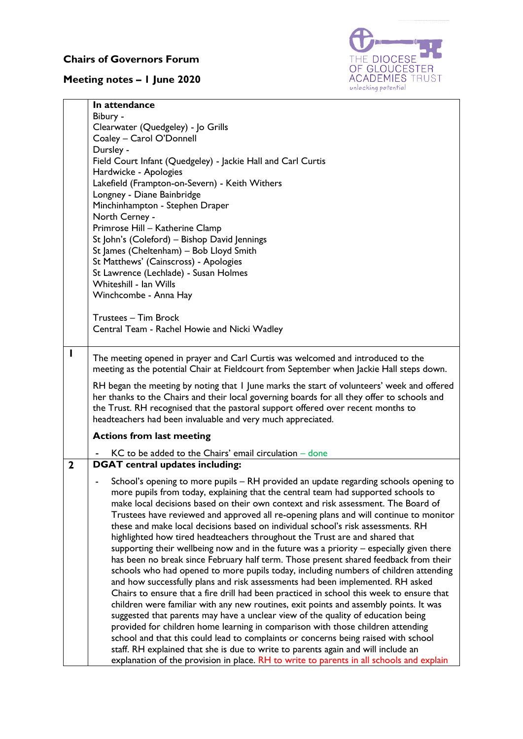## **Chairs of Governors Forum**

## **Meeting notes – 1 June 2020**



|             | In attendance                                                                                                                                                                 |
|-------------|-------------------------------------------------------------------------------------------------------------------------------------------------------------------------------|
|             | Bibury -                                                                                                                                                                      |
|             | Clearwater (Quedgeley) - Jo Grills<br>Coaley - Carol O'Donnell                                                                                                                |
|             | Dursley -                                                                                                                                                                     |
|             | Field Court Infant (Quedgeley) - Jackie Hall and Carl Curtis                                                                                                                  |
|             | Hardwicke - Apologies                                                                                                                                                         |
|             | Lakefield (Frampton-on-Severn) - Keith Withers                                                                                                                                |
|             | Longney - Diane Bainbridge                                                                                                                                                    |
|             | Minchinhampton - Stephen Draper                                                                                                                                               |
|             | North Cerney -                                                                                                                                                                |
|             | Primrose Hill - Katherine Clamp                                                                                                                                               |
|             | St John's (Coleford) - Bishop David Jennings                                                                                                                                  |
|             | St James (Cheltenham) - Bob Lloyd Smith                                                                                                                                       |
|             | St Matthews' (Cainscross) - Apologies                                                                                                                                         |
|             | St Lawrence (Lechlade) - Susan Holmes                                                                                                                                         |
|             | Whiteshill - Ian Wills                                                                                                                                                        |
|             | Winchcombe - Anna Hay                                                                                                                                                         |
|             |                                                                                                                                                                               |
|             | Trustees - Tim Brock                                                                                                                                                          |
|             | Central Team - Rachel Howie and Nicki Wadley                                                                                                                                  |
| I           |                                                                                                                                                                               |
|             | The meeting opened in prayer and Carl Curtis was welcomed and introduced to the<br>meeting as the potential Chair at Fieldcourt from September when Jackie Hall steps down.   |
|             |                                                                                                                                                                               |
|             | RH began the meeting by noting that I June marks the start of volunteers' week and offered                                                                                    |
|             | her thanks to the Chairs and their local governing boards for all they offer to schools and                                                                                   |
|             | the Trust. RH recognised that the pastoral support offered over recent months to                                                                                              |
|             | headteachers had been invaluable and very much appreciated.                                                                                                                   |
|             | <b>Actions from last meeting</b>                                                                                                                                              |
|             | $KC$ to be added to the Chairs' email circulation $-\$ done                                                                                                                   |
| $\mathbf 2$ | <b>DGAT</b> central updates including:                                                                                                                                        |
|             | School's opening to more pupils - RH provided an update regarding schools opening to                                                                                          |
|             | more pupils from today, explaining that the central team had supported schools to                                                                                             |
|             | make local decisions based on their own context and risk assessment. The Board of                                                                                             |
|             | Trustees have reviewed and approved all re-opening plans and will continue to monitor                                                                                         |
|             | these and make local decisions based on individual school's risk assessments. RH                                                                                              |
|             | highlighted how tired headteachers throughout the Trust are and shared that                                                                                                   |
|             | supporting their wellbeing now and in the future was a priority - especially given there                                                                                      |
|             | has been no break since February half term. Those present shared feedback from their                                                                                          |
|             | schools who had opened to more pupils today, including numbers of children attending                                                                                          |
|             | and how successfully plans and risk assessments had been implemented. RH asked                                                                                                |
|             | Chairs to ensure that a fire drill had been practiced in school this week to ensure that                                                                                      |
|             | children were familiar with any new routines, exit points and assembly points. It was                                                                                         |
|             | suggested that parents may have a unclear view of the quality of education being                                                                                              |
|             | provided for children home learning in comparison with those children attending                                                                                               |
|             |                                                                                                                                                                               |
|             | school and that this could lead to complaints or concerns being raised with school                                                                                            |
|             | staff. RH explained that she is due to write to parents again and will include an<br>explanation of the provision in place. RH to write to parents in all schools and explain |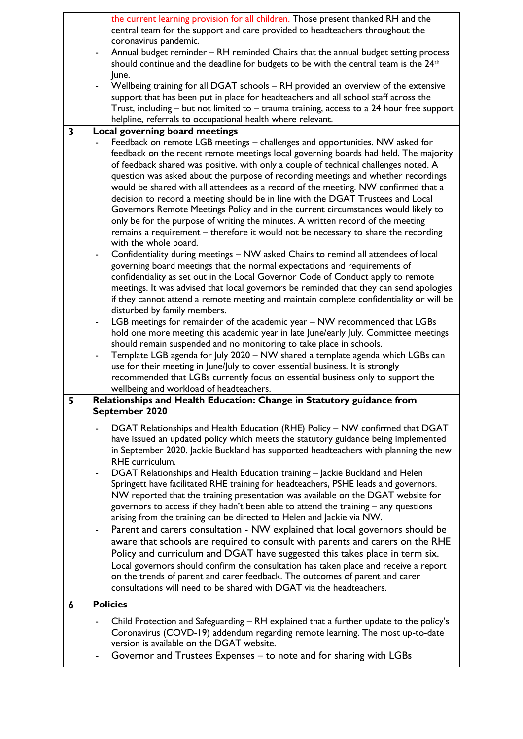|                         | the current learning provision for all children. Those present thanked RH and the                               |
|-------------------------|-----------------------------------------------------------------------------------------------------------------|
|                         | central team for the support and care provided to headteachers throughout the                                   |
|                         | coronavirus pandemic.                                                                                           |
|                         | Annual budget reminder - RH reminded Chairs that the annual budget setting process                              |
|                         | should continue and the deadline for budgets to be with the central team is the 24 <sup>th</sup>                |
|                         | June.                                                                                                           |
|                         |                                                                                                                 |
|                         | Wellbeing training for all DGAT schools - RH provided an overview of the extensive                              |
|                         | support that has been put in place for headteachers and all school staff across the                             |
|                         | Trust, including - but not limited to - trauma training, access to a 24 hour free support                       |
|                         | helpline, referrals to occupational health where relevant.                                                      |
| $\overline{\mathbf{3}}$ | Local governing board meetings                                                                                  |
|                         | Feedback on remote LGB meetings - challenges and opportunities. NW asked for                                    |
|                         | feedback on the recent remote meetings local governing boards had held. The majority                            |
|                         | of feedback shared was positive, with only a couple of technical challenges noted. A                            |
|                         | question was asked about the purpose of recording meetings and whether recordings                               |
|                         | would be shared with all attendees as a record of the meeting. NW confirmed that a                              |
|                         | decision to record a meeting should be in line with the DGAT Trustees and Local                                 |
|                         |                                                                                                                 |
|                         | Governors Remote Meetings Policy and in the current circumstances would likely to                               |
|                         | only be for the purpose of writing the minutes. A written record of the meeting                                 |
|                         | remains a requirement - therefore it would not be necessary to share the recording                              |
|                         | with the whole board.                                                                                           |
|                         | Confidentiality during meetings - NW asked Chairs to remind all attendees of local                              |
|                         | governing board meetings that the normal expectations and requirements of                                       |
|                         | confidentiality as set out in the Local Governor Code of Conduct apply to remote                                |
|                         | meetings. It was advised that local governors be reminded that they can send apologies                          |
|                         | if they cannot attend a remote meeting and maintain complete confidentiality or will be                         |
|                         | disturbed by family members.                                                                                    |
|                         | LGB meetings for remainder of the academic year - NW recommended that LGBs                                      |
|                         |                                                                                                                 |
|                         | hold one more meeting this academic year in late June/early July. Committee meetings                            |
|                         | should remain suspended and no monitoring to take place in schools.                                             |
|                         | Template LGB agenda for July 2020 - NW shared a template agenda which LGBs can                                  |
|                         | use for their meeting in June/July to cover essential business. It is strongly                                  |
|                         | recommended that LGBs currently focus on essential business only to support the                                 |
|                         | wellbeing and workload of headteachers.                                                                         |
| 5                       |                                                                                                                 |
|                         | Relationships and Health Education: Change in Statutory guidance from                                           |
|                         | September 2020                                                                                                  |
|                         |                                                                                                                 |
|                         | DGAT Relationships and Health Education (RHE) Policy - NW confirmed that DGAT                                   |
|                         | have issued an updated policy which meets the statutory guidance being implemented                              |
|                         | in September 2020. Jackie Buckland has supported headteachers with planning the new                             |
|                         | RHE curriculum.                                                                                                 |
|                         | DGAT Relationships and Health Education training - Jackie Buckland and Helen                                    |
|                         | Springett have facilitated RHE training for headteachers, PSHE leads and governors.                             |
|                         |                                                                                                                 |
|                         | NW reported that the training presentation was available on the DGAT website for                                |
|                         | governors to access if they hadn't been able to attend the training - any questions                             |
|                         | arising from the training can be directed to Helen and Jackie via NW.                                           |
|                         | Parent and carers consultation - NW explained that local governors should be                                    |
|                         | aware that schools are required to consult with parents and carers on the RHE                                   |
|                         | Policy and curriculum and DGAT have suggested this takes place in term six.                                     |
|                         | Local governors should confirm the consultation has taken place and receive a report                            |
|                         | on the trends of parent and carer feedback. The outcomes of parent and carer                                    |
|                         | consultations will need to be shared with DGAT via the headteachers.                                            |
|                         |                                                                                                                 |
| 6                       | <b>Policies</b>                                                                                                 |
|                         | Child Protection and Safeguarding - RH explained that a further update to the policy's                          |
|                         |                                                                                                                 |
|                         | Coronavirus (COVD-19) addendum regarding remote learning. The most up-to-date                                   |
|                         | version is available on the DGAT website.<br>Governor and Trustees Expenses – to note and for sharing with LGBs |